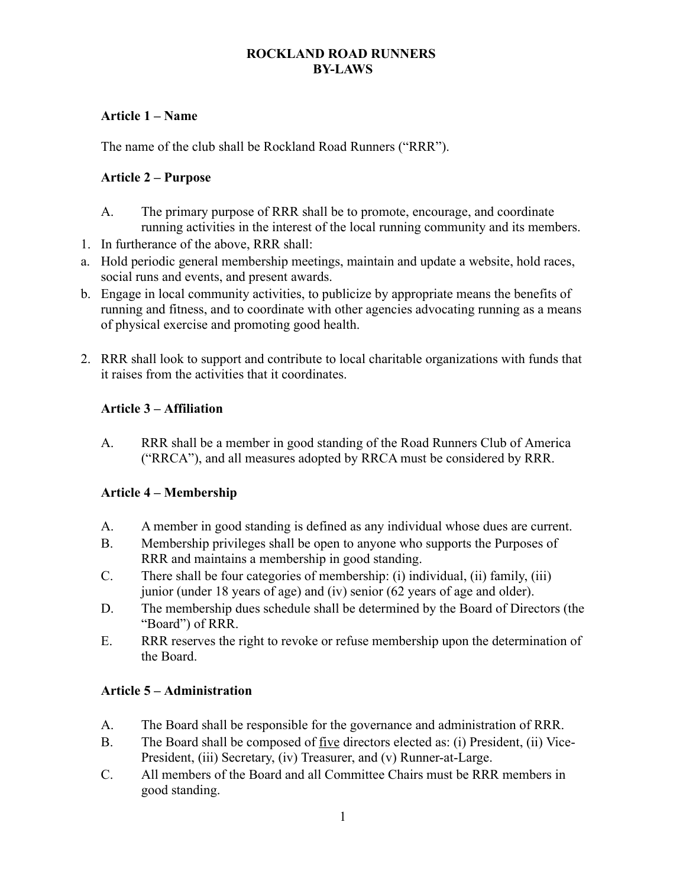# **ROCKLAND ROAD RUNNERS BY-LAWS**

# **Article 1 – Name**

The name of the club shall be Rockland Road Runners ("RRR").

### **Article 2 – Purpose**

- A. The primary purpose of RRR shall be to promote, encourage, and coordinate running activities in the interest of the local running community and its members.
- 1. In furtherance of the above, RRR shall:
- a. Hold periodic general membership meetings, maintain and update a website, hold races, social runs and events, and present awards.
- b. Engage in local community activities, to publicize by appropriate means the benefits of running and fitness, and to coordinate with other agencies advocating running as a means of physical exercise and promoting good health.
- 2. RRR shall look to support and contribute to local charitable organizations with funds that it raises from the activities that it coordinates.

# **Article 3 – Affiliation**

A. RRR shall be a member in good standing of the Road Runners Club of America ("RRCA"), and all measures adopted by RRCA must be considered by RRR.

### **Article 4 – Membership**

- A. A member in good standing is defined as any individual whose dues are current.
- B. Membership privileges shall be open to anyone who supports the Purposes of RRR and maintains a membership in good standing.
- C. There shall be four categories of membership: (i) individual, (ii) family, (iii) junior (under 18 years of age) and (iv) senior (62 years of age and older).
- D. The membership dues schedule shall be determined by the Board of Directors (the "Board") of RRR.
- E. RRR reserves the right to revoke or refuse membership upon the determination of the Board.

### **Article 5 – Administration**

- A. The Board shall be responsible for the governance and administration of RRR.
- B. The Board shall be composed of five directors elected as: (i) President, (ii) Vice-President, (iii) Secretary, (iv) Treasurer, and (v) Runner-at-Large.
- C. All members of the Board and all Committee Chairs must be RRR members in good standing.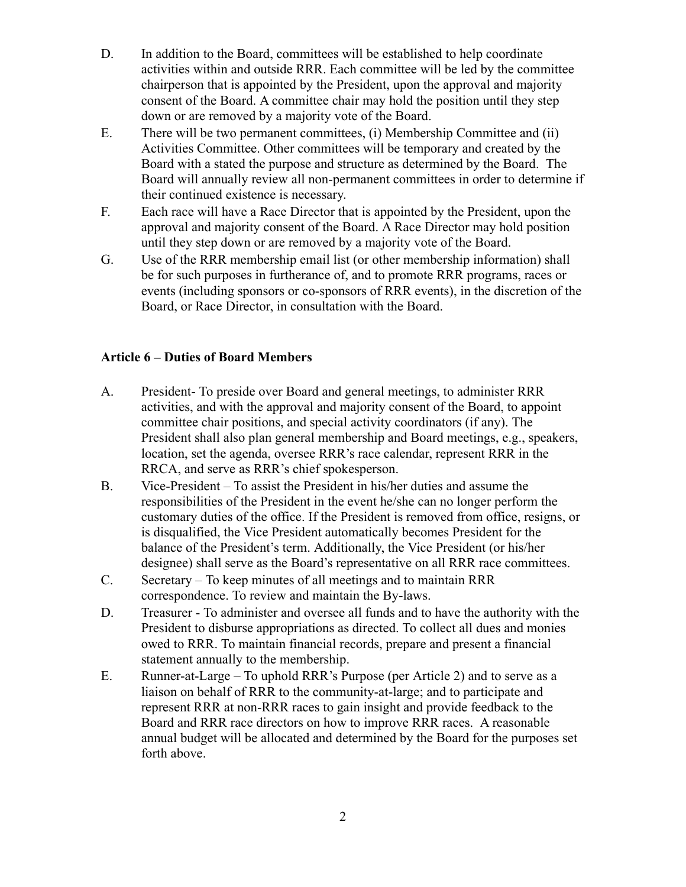- D. In addition to the Board, committees will be established to help coordinate activities within and outside RRR. Each committee will be led by the committee chairperson that is appointed by the President, upon the approval and majority consent of the Board. A committee chair may hold the position until they step down or are removed by a majority vote of the Board.
- E. There will be two permanent committees, (i) Membership Committee and (ii) Activities Committee. Other committees will be temporary and created by the Board with a stated the purpose and structure as determined by the Board. The Board will annually review all non-permanent committees in order to determine if their continued existence is necessary.
- F. Each race will have a Race Director that is appointed by the President, upon the approval and majority consent of the Board. A Race Director may hold position until they step down or are removed by a majority vote of the Board.
- G. Use of the RRR membership email list (or other membership information) shall be for such purposes in furtherance of, and to promote RRR programs, races or events (including sponsors or co-sponsors of RRR events), in the discretion of the Board, or Race Director, in consultation with the Board.

### **Article 6 – Duties of Board Members**

- A. President- To preside over Board and general meetings, to administer RRR activities, and with the approval and majority consent of the Board, to appoint committee chair positions, and special activity coordinators (if any). The President shall also plan general membership and Board meetings, e.g., speakers, location, set the agenda, oversee RRR's race calendar, represent RRR in the RRCA, and serve as RRR's chief spokesperson.
- B. Vice-President To assist the President in his/her duties and assume the responsibilities of the President in the event he/she can no longer perform the customary duties of the office. If the President is removed from office, resigns, or is disqualified, the Vice President automatically becomes President for the balance of the President's term. Additionally, the Vice President (or his/her designee) shall serve as the Board's representative on all RRR race committees.
- C. Secretary To keep minutes of all meetings and to maintain RRR correspondence. To review and maintain the By-laws.
- D. Treasurer To administer and oversee all funds and to have the authority with the President to disburse appropriations as directed. To collect all dues and monies owed to RRR. To maintain financial records, prepare and present a financial statement annually to the membership.
- E. Runner-at-Large To uphold RRR's Purpose (per Article 2) and to serve as a liaison on behalf of RRR to the community-at-large; and to participate and represent RRR at non-RRR races to gain insight and provide feedback to the Board and RRR race directors on how to improve RRR races. A reasonable annual budget will be allocated and determined by the Board for the purposes set forth above.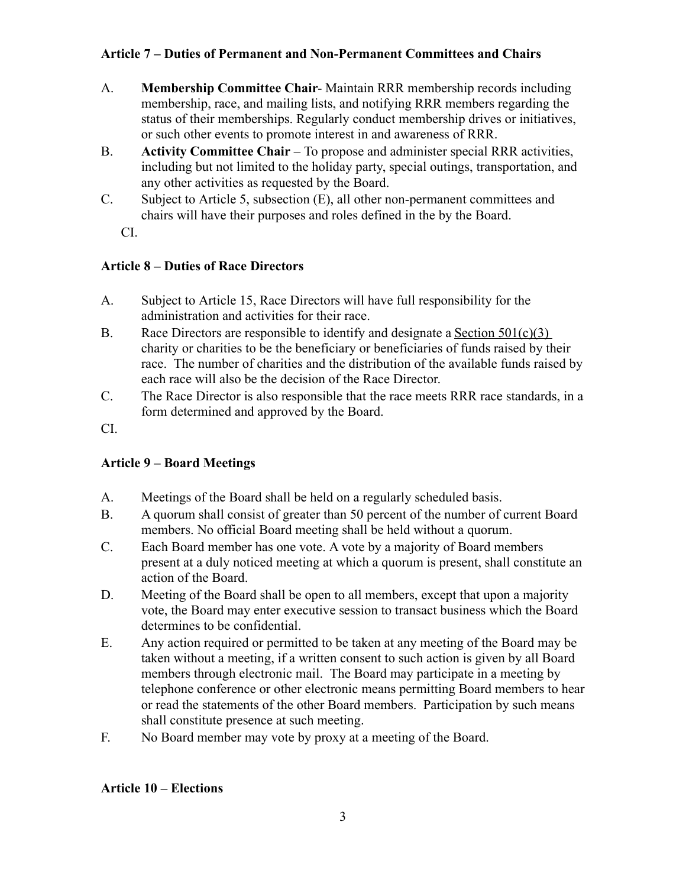## **Article 7 – Duties of Permanent and Non-Permanent Committees and Chairs**

- A. **Membership Committee Chair** Maintain RRR membership records including membership, race, and mailing lists, and notifying RRR members regarding the status of their memberships. Regularly conduct membership drives or initiatives, or such other events to promote interest in and awareness of RRR.
- B. **Activity Committee Chair** To propose and administer special RRR activities, including but not limited to the holiday party, special outings, transportation, and any other activities as requested by the Board.
- C. Subject to Article 5, subsection (E), all other non-permanent committees and chairs will have their purposes and roles defined in the by the Board.
	- CI.

# **Article 8 – Duties of Race Directors**

- A. Subject to Article 15, Race Directors will have full responsibility for the administration and activities for their race.
- B. Race Directors are responsible to identify and designate a Section  $501(c)(3)$ charity or charities to be the beneficiary or beneficiaries of funds raised by their race. The number of charities and the distribution of the available funds raised by each race will also be the decision of the Race Director.
- C. The Race Director is also responsible that the race meets RRR race standards, in a form determined and approved by the Board.

CI.

# **Article 9 – Board Meetings**

- A. Meetings of the Board shall be held on a regularly scheduled basis.
- B. A quorum shall consist of greater than 50 percent of the number of current Board members. No official Board meeting shall be held without a quorum.
- C. Each Board member has one vote. A vote by a majority of Board members present at a duly noticed meeting at which a quorum is present, shall constitute an action of the Board.
- D. Meeting of the Board shall be open to all members, except that upon a majority vote, the Board may enter executive session to transact business which the Board determines to be confidential.
- E. Any action required or permitted to be taken at any meeting of the Board may be taken without a meeting, if a written consent to such action is given by all Board members through electronic mail. The Board may participate in a meeting by telephone conference or other electronic means permitting Board members to hear or read the statements of the other Board members. Participation by such means shall constitute presence at such meeting.
- F. No Board member may vote by proxy at a meeting of the Board.

### **Article 10 – Elections**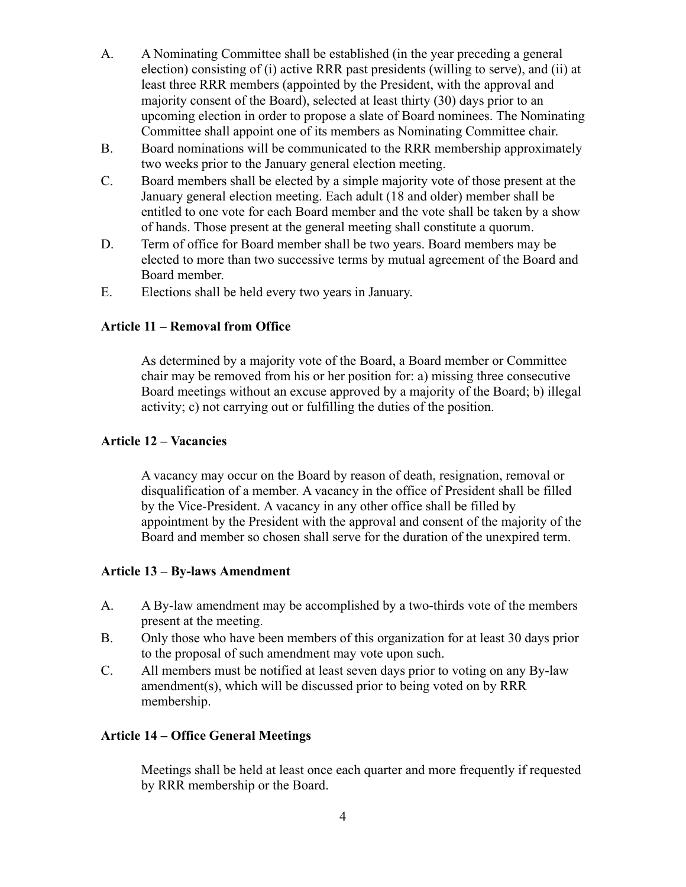- A. A Nominating Committee shall be established (in the year preceding a general election) consisting of (i) active RRR past presidents (willing to serve), and (ii) at least three RRR members (appointed by the President, with the approval and majority consent of the Board), selected at least thirty (30) days prior to an upcoming election in order to propose a slate of Board nominees. The Nominating Committee shall appoint one of its members as Nominating Committee chair.
- B. Board nominations will be communicated to the RRR membership approximately two weeks prior to the January general election meeting.
- C. Board members shall be elected by a simple majority vote of those present at the January general election meeting. Each adult (18 and older) member shall be entitled to one vote for each Board member and the vote shall be taken by a show of hands. Those present at the general meeting shall constitute a quorum.
- D. Term of office for Board member shall be two years. Board members may be elected to more than two successive terms by mutual agreement of the Board and Board member.
- E. Elections shall be held every two years in January.

#### **Article 11 – Removal from Office**

As determined by a majority vote of the Board, a Board member or Committee chair may be removed from his or her position for: a) missing three consecutive Board meetings without an excuse approved by a majority of the Board; b) illegal activity; c) not carrying out or fulfilling the duties of the position.

#### **Article 12 – Vacancies**

A vacancy may occur on the Board by reason of death, resignation, removal or disqualification of a member. A vacancy in the office of President shall be filled by the Vice-President. A vacancy in any other office shall be filled by appointment by the President with the approval and consent of the majority of the Board and member so chosen shall serve for the duration of the unexpired term.

#### **Article 13 – By-laws Amendment**

- A. A By-law amendment may be accomplished by a two-thirds vote of the members present at the meeting.
- B. Only those who have been members of this organization for at least 30 days prior to the proposal of such amendment may vote upon such.
- C. All members must be notified at least seven days prior to voting on any By-law amendment(s), which will be discussed prior to being voted on by RRR membership.

### **Article 14 – Office General Meetings**

Meetings shall be held at least once each quarter and more frequently if requested by RRR membership or the Board.